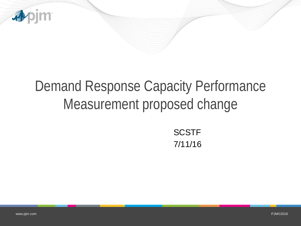

## Demand Response Capacity Performance Measurement proposed change

**SCSTF** 7/11/16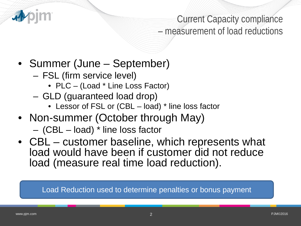

Current Capacity compliance – measurement of load reductions

- Summer (June September)
	- FSL (firm service level)
		- PLC (Load \* Line Loss Factor)
	- GLD (guaranteed load drop)
		- Lessor of FSL or (CBL load) \* line loss factor
- Non-summer (October through May)
	- (CBL load) \* line loss factor
- CBL customer baseline, which represents what load would have been if customer did not reduce load (measure real time load reduction).

Load Reduction used to determine penalties or bonus payment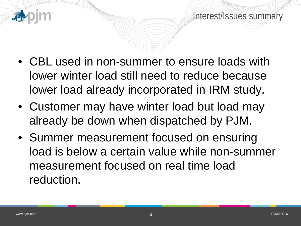



- CBL used in non-summer to ensure loads with lower winter load still need to reduce because lower load already incorporated in IRM study.
- Customer may have winter load but load may already be down when dispatched by PJM.
- Summer measurement focused on ensuring load is below a certain value while non-summer measurement focused on real time load reduction.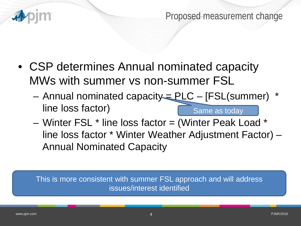

Proposed measurement change

- CSP determines Annual nominated capacity MWs with summer vs non-summer FSL
	- $-$  Annual nominated capacity  $=$  PLC  $-$  [FSL(summer) line loss factor) Same as today
	- Winter FSL \* line loss factor = (Winter Peak Load \* line loss factor \* Winter Weather Adjustment Factor) – Annual Nominated Capacity

This is more consistent with summer FSL approach and will address issues/interest identified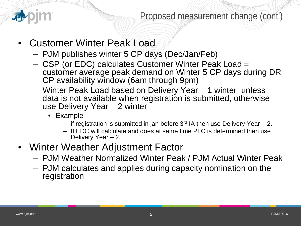

## Proposed measurement change (cont')

- Customer Winter Peak Load
	- PJM publishes winter 5 CP days (Dec/Jan/Feb)
	- CSP (or EDC) calculates Customer Winter Peak Load = customer average peak demand on Winter 5 CP days during DR CP availability window (6am through 9pm)
	- Winter Peak Load based on Delivery Year 1 winter unless data is not available when registration is submitted, otherwise use Delivery Year – 2 winter
		- Example
			- if registration is submitted in jan before  $3^{rd}$  IA then use Delivery Year 2.
			- If EDC will calculate and does at same time PLC is determined then use Delivery Year – 2.
- Winter Weather Adjustment Factor
	- PJM Weather Normalized Winter Peak / PJM Actual Winter Peak
	- PJM calculates and applies during capacity nomination on the registration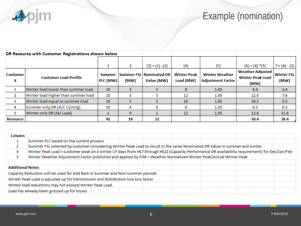apjm

Example (nomination)

| DR Resource with Customer Registrations shown below |                                     |                           |      |                                              |                                 |                                                   |                                                            |                           |
|-----------------------------------------------------|-------------------------------------|---------------------------|------|----------------------------------------------|---------------------------------|---------------------------------------------------|------------------------------------------------------------|---------------------------|
|                                                     |                                     |                           |      |                                              |                                 |                                                   |                                                            |                           |
|                                                     |                                     | 1                         | 2    | $(3) = (1) - (2)$                            | (4)                             | (5)                                               | $(6) = (4) * (5)$                                          | $7 = (6) - (3)$           |
| <b>Customer</b><br>#                                | <b>Customer Load Profile</b>        | <b>Summer</b><br>PLC (MW) | (MW) | <b>Summer FSL Nominated DR</b><br>Value (MW) | <b>Winter Peak</b><br>Load (MW) | <b>Winter Weather</b><br><b>Adjustment Factor</b> | <b>Weather Adjusted</b><br><b>Winter Peak Load</b><br>(MW) | <b>Winter FSL</b><br>(MW) |
|                                                     | Winter load lower than summer load  | 10                        |      |                                              | 8                               | 1.05                                              | 8.4                                                        | 3.4                       |
| 2                                                   | Winter load higher than summer load | 10                        |      |                                              | 12                              | 1.05                                              | 12.6                                                       | 7.6                       |
| 3                                                   | Winter load equal to summer load    | 10                        |      |                                              | 10                              | 1.05                                              | 10.5                                                       | 5.5                       |
| 4                                                   | Summer only DR (A/C Cycling)        | 10                        | 4    | 6                                            | 6                               | 1.05                                              | 6.3                                                        | 0.3                       |
| 5                                                   | Winter only DR (Ski Load)           |                           |      |                                              | 12                              | 1.05                                              | 12.6                                                       | 11.6                      |
| <b>Resource</b>                                     |                                     | 41                        | 19   | 22                                           |                                 |                                                   | 50.4                                                       | 28.4                      |

| <b>Column</b>                                                                      |                                                                                                                                               |  |  |  |  |  |  |  |  |
|------------------------------------------------------------------------------------|-----------------------------------------------------------------------------------------------------------------------------------------------|--|--|--|--|--|--|--|--|
|                                                                                    | Summer PLC based on the current process                                                                                                       |  |  |  |  |  |  |  |  |
|                                                                                    | Summer FSL selected by customer considering Winter Peak Load to result in the same Nominated DR Value in summer and winter                    |  |  |  |  |  |  |  |  |
| 4                                                                                  | Winter Peak Load = customer peak on 5 winter CP days from HE7 through HE21 (Capacity Performance DR availability requirement) for Dec/Jan/Feb |  |  |  |  |  |  |  |  |
|                                                                                    | Winter Weather Adjustment Factor published and applied by PJM = Weather Normalized Winter Peak/Actual Winter Peak                             |  |  |  |  |  |  |  |  |
|                                                                                    |                                                                                                                                               |  |  |  |  |  |  |  |  |
| <b>Additional Notes</b>                                                            |                                                                                                                                               |  |  |  |  |  |  |  |  |
| Capacity Reduction will be used for Add Back in Summer and Non-summer periods      |                                                                                                                                               |  |  |  |  |  |  |  |  |
| Winter Peak Load is adjusted up for transmission and distribution line loss factor |                                                                                                                                               |  |  |  |  |  |  |  |  |
| Winter load reductions may not exceed Winter Peak Load.                            |                                                                                                                                               |  |  |  |  |  |  |  |  |
| Load has already been grossed up for losses                                        |                                                                                                                                               |  |  |  |  |  |  |  |  |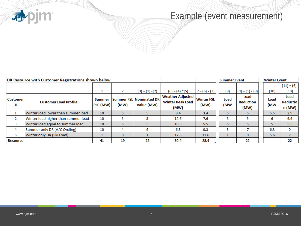apjm

## Example (event measurement)

| DR Resource with Customer Registrations shown below |                                     |                           |              |                                       |                                                            | <b>Summer Event</b>       |             | <b>Winter Event</b>              |             |                                   |
|-----------------------------------------------------|-------------------------------------|---------------------------|--------------|---------------------------------------|------------------------------------------------------------|---------------------------|-------------|----------------------------------|-------------|-----------------------------------|
|                                                     |                                     |                           |              |                                       |                                                            |                           |             |                                  |             | $(11) = (6)$                      |
|                                                     |                                     | <b>T</b>                  | 2            | $(3) = (1) - (2)$                     | $(6) = (4) * (5)$                                          | $7 = (6) - (3)$           | (8)         | $(9) = (1) - (8)$                | (10)        | (10)                              |
| <b>Customer</b><br>#                                | <b>Customer Load Profile</b>        | <b>Summer</b><br>PLC (MW) | (MW)         | Summer FSL Nominated DR<br>Value (MW) | <b>Weather Adjusted</b><br><b>Winter Peak Load</b><br>(MW) | <b>Winter FSL</b><br>(MW) | Load<br>(MW | Load<br><b>Reduction</b><br>(MW) | Load<br>(MW | Load<br><b>Reductio</b><br>n (MW) |
|                                                     | Winter load lower than summer load  | 10                        |              |                                       | 8.4                                                        | 3.4                       |             |                                  | 5.5         | 2.9                               |
| $\overline{2}$                                      | Winter load higher than summer load | 10                        |              |                                       | 12.6                                                       | 7.6                       |             |                                  | 6           | 6.6                               |
| з                                                   | Winter load equal to summer load    | 10                        |              |                                       | 10.5                                                       | 5.5                       |             |                                  | 5           | 5.5                               |
| 4                                                   | Summer only DR (A/C Cycling)        | 10                        | 4            |                                       | 6.3                                                        | 0.3                       |             |                                  | 6.3         | 0                                 |
| 5                                                   | Winter only DR (Ski Load)           |                           | $\mathbf{0}$ |                                       | 12.6                                                       | 11.6                      |             | 0                                | 5.6         |                                   |
| <b>Resource</b>                                     |                                     | 41                        | 19           | 22                                    | 50.4                                                       | 28.4                      |             | 22                               |             | 22                                |